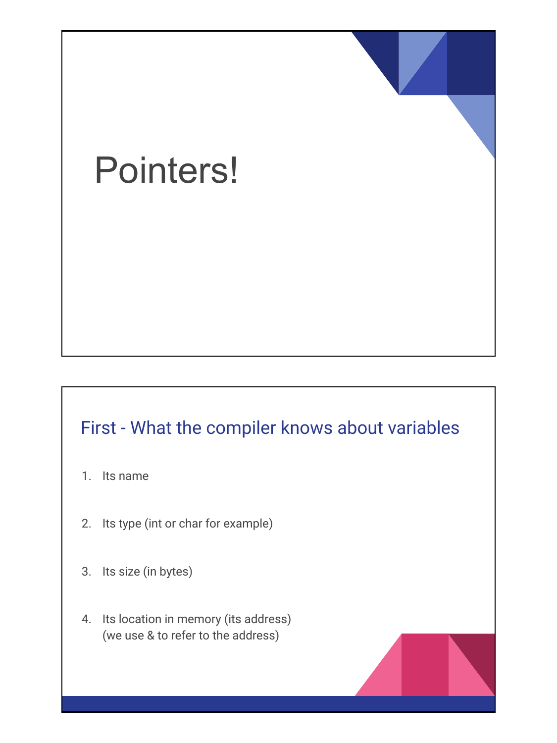# Pointers!

### First - What the compiler knows about variables

- 1. Its name
- 2. Its type (int or char for example)
- 3. Its size (in bytes)
- 4. Its location in memory (its address) (we use & to refer to the address)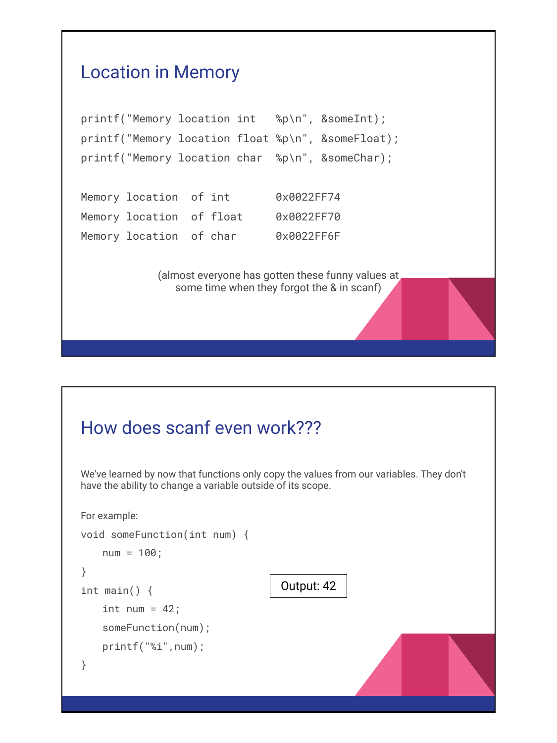

# How does scanf even work??? We've learned by now that functions only copy the values from our variables. They don't have the ability to change a variable outside of its scope. For example: void someFunction(int num) { num = 100; } int main() { int num =  $42$ ; someFunction(num); printf("%i",num); } Output: 42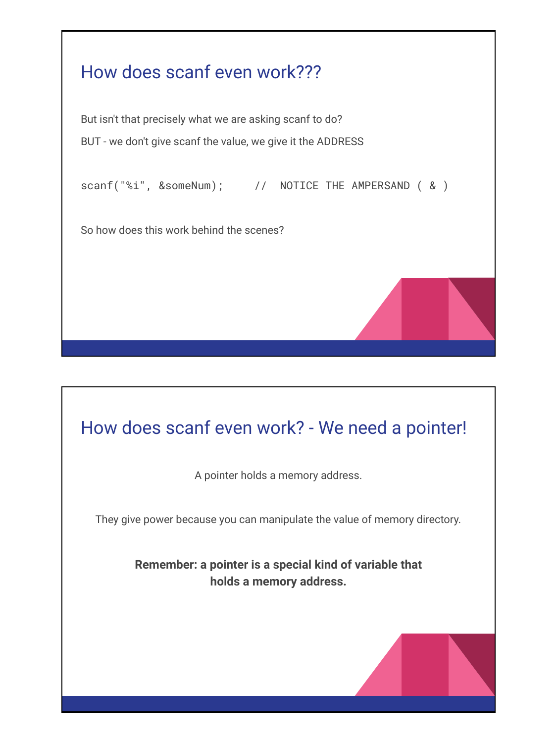

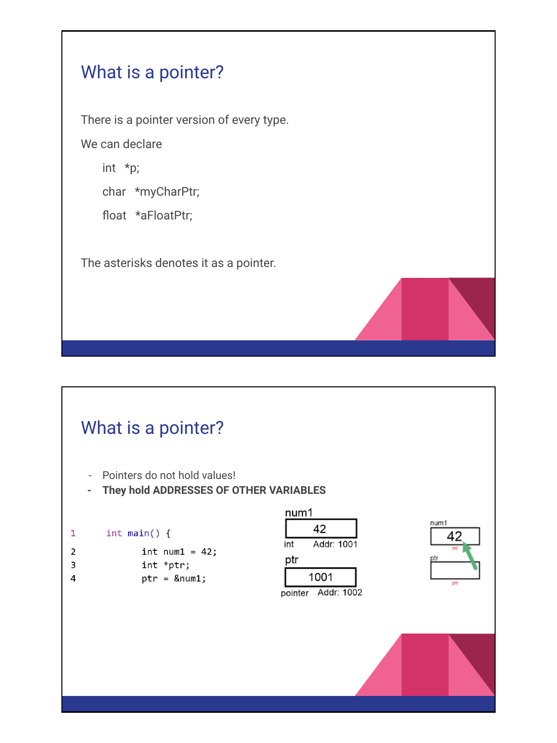#### What is a pointer?

There is a pointer version of every type.

We can declare

int \*p;

char \*myCharPtr;

float \*aFloatPtr;

The asterisks denotes it as a pointer.

#### What is a pointer?

- Pointers do not hold values!
- **- They hold ADDRESSES OF OTHER VARIABLES**

```
int main() \{\mathbf{1}
```

```
\overline{2}int num1 = 42;
\overline{3}
```
- int \*ptr;
- 4  $ptr =$  &num1;





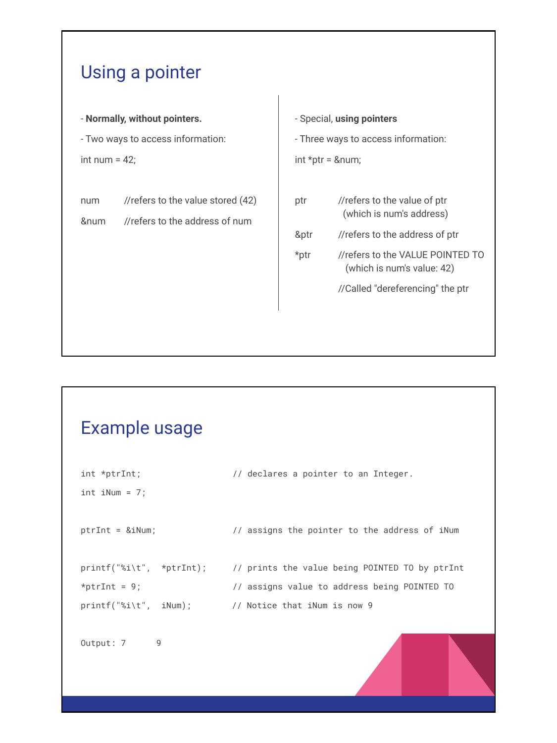#### Using a pointer

- **Normally, without pointers.**

- Two ways to access information:

int num  $= 42$ ;

num //refers to the value stored (42)

&num //refers to the address of num

- Special, **using pointers** - Three ways to access information: int  $*ptr =$  # ptr //refers to the value of ptr (which is num's address) &ptr //refers to the address of ptr \*ptr //refers to the VALUE POINTED TO (which is num's value: 42) //Called "dereferencing" the ptr

#### Example usage

| $int *ptrInt;$                                      | // declares a pointer to an Integer.                                    |
|-----------------------------------------------------|-------------------------------------------------------------------------|
| $int$ iNum = 7;                                     |                                                                         |
|                                                     |                                                                         |
| $ptrInt = & iNum;$                                  | // assigns the pointer to the address of iNum                           |
|                                                     |                                                                         |
|                                                     | printf("%i\t", *ptrInt); // prints the value being POINTED TO by ptrInt |
| *ptrInt = $9$ ;                                     | // assigns value to address being POINTED TO                            |
| $print('%i\t', iNum);$ // Notice that iNum is now 9 |                                                                         |
|                                                     |                                                                         |
| Output: 7<br>9                                      |                                                                         |
|                                                     |                                                                         |
|                                                     |                                                                         |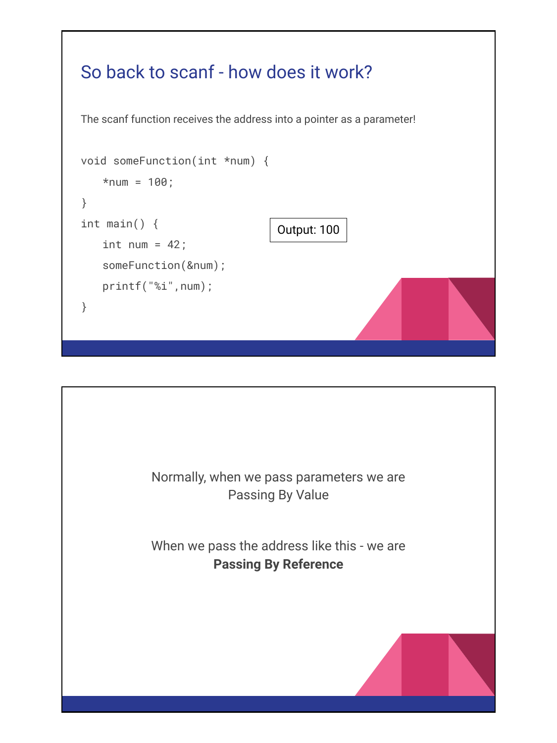